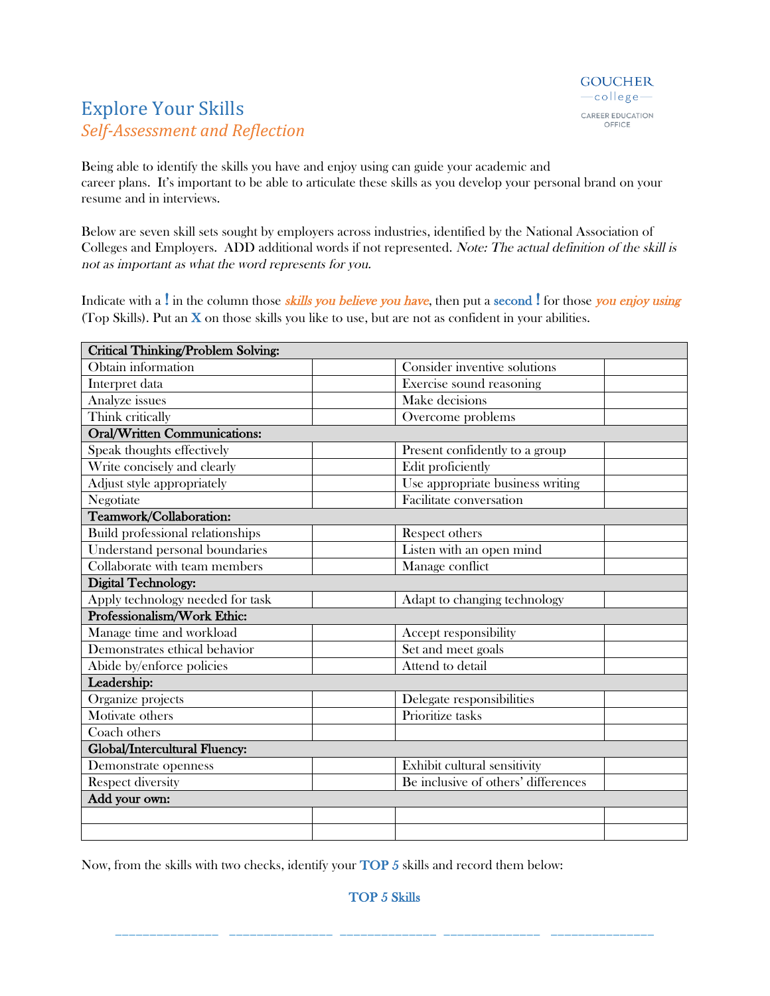## **Explore Your Skills** *Self-Assessment and Reflection*

Being able to identify the skills you have and enjoy using can guide your academic and career plans. It's important to be able to articulate these skills as you develop your personal brand on your resume and in interviews.

Below are seven skill sets sought by employers across industries, identified by the National Association of Colleges and Employers. ADD additional words if not represented. Note: The actual definition of the skill is not as important as what the word represents for you.

Indicate with a ! in the column those *skills you believe you have*, then put a second ! for those you enjoy using (Top Skills). Put an  $X$  on those skills you like to use, but are not as confident in your abilities.

| <b>Critical Thinking/Problem Solving:</b> |  |                                     |  |
|-------------------------------------------|--|-------------------------------------|--|
| Obtain information                        |  | Consider inventive solutions        |  |
| Interpret data                            |  | Exercise sound reasoning            |  |
| Analyze issues                            |  | Make decisions                      |  |
| Think critically                          |  | Overcome problems                   |  |
| <b>Oral/Written Communications:</b>       |  |                                     |  |
| Speak thoughts effectively                |  | Present confidently to a group      |  |
| Write concisely and clearly               |  | Edit proficiently                   |  |
| Adjust style appropriately                |  | Use appropriate business writing    |  |
| Negotiate                                 |  | Facilitate conversation             |  |
| Teamwork/Collaboration:                   |  |                                     |  |
| <b>Build professional relationships</b>   |  | Respect others                      |  |
| Understand personal boundaries            |  | Listen with an open mind            |  |
| Collaborate with team members             |  | Manage conflict                     |  |
| Digital Technology:                       |  |                                     |  |
| Apply technology needed for task          |  | Adapt to changing technology        |  |
| Professionalism/Work Ethic:               |  |                                     |  |
| Manage time and workload                  |  | Accept responsibility               |  |
| Demonstrates ethical behavior             |  | Set and meet goals                  |  |
| Abide by/enforce policies                 |  | Attend to detail                    |  |
| Leadership:                               |  |                                     |  |
| Organize projects                         |  | Delegate responsibilities           |  |
| $\overline{\text{M}}$ otivate others      |  | Prioritize tasks                    |  |
| Coach others                              |  |                                     |  |
| Global/Intercultural Fluency:             |  |                                     |  |
| Demonstrate openness                      |  | Exhibit cultural sensitivity        |  |
| <b>Respect diversity</b>                  |  | Be inclusive of others' differences |  |
| Add your own:                             |  |                                     |  |
|                                           |  |                                     |  |
|                                           |  |                                     |  |

Now, from the skills with two checks, identify your TOP 5 skills and record them below:

TOP 5 Skills

\_\_\_\_\_\_\_\_\_\_\_\_\_\_\_ \_\_\_\_\_\_\_\_\_\_\_\_\_\_\_ \_\_\_\_\_\_\_\_\_\_\_\_\_\_ \_\_\_\_\_\_\_\_\_\_\_\_\_\_ \_\_\_\_\_\_\_\_\_\_\_\_\_\_\_